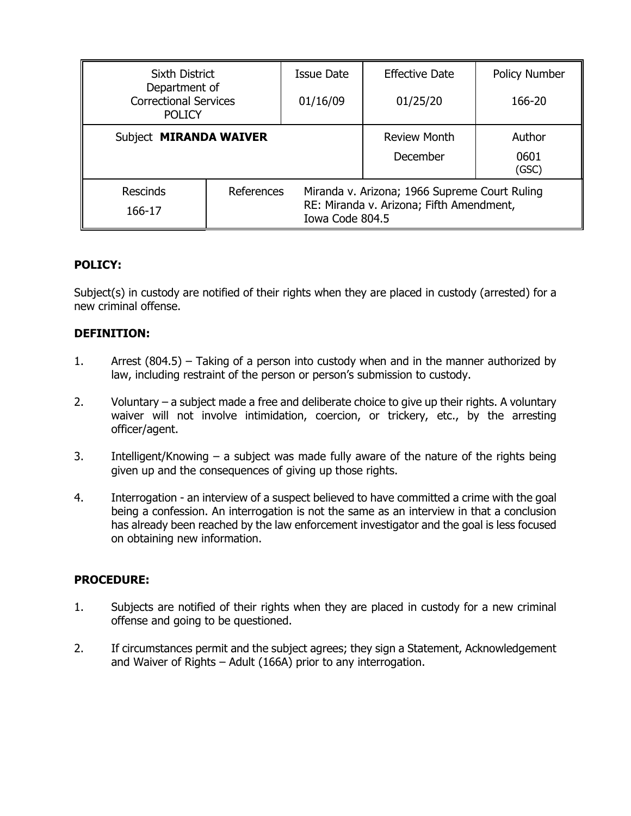| Sixth District                                                 |            | Issue Date                                                                                                   | <b>Effective Date</b> | <b>Policy Number</b> |
|----------------------------------------------------------------|------------|--------------------------------------------------------------------------------------------------------------|-----------------------|----------------------|
| Department of<br><b>Correctional Services</b><br><b>POLICY</b> |            | 01/16/09                                                                                                     | 01/25/20              | 166-20               |
| Subject MIRANDA WAIVER                                         |            |                                                                                                              | <b>Review Month</b>   | Author               |
|                                                                |            |                                                                                                              | December              | 0601<br>(GSC)        |
| <b>Rescinds</b><br>166-17                                      | References | Miranda v. Arizona; 1966 Supreme Court Ruling<br>RE: Miranda v. Arizona; Fifth Amendment,<br>Iowa Code 804.5 |                       |                      |

## **POLICY:**

Subject(s) in custody are notified of their rights when they are placed in custody (arrested) for a new criminal offense.

# **DEFINITION:**

- 1. Arrest (804.5) Taking of a person into custody when and in the manner authorized by law, including restraint of the person or person's submission to custody.
- 2. Voluntary a subject made a free and deliberate choice to give up their rights. A voluntary waiver will not involve intimidation, coercion, or trickery, etc., by the arresting officer/agent.
- 3. Intelligent/Knowing a subject was made fully aware of the nature of the rights being given up and the consequences of giving up those rights.
- 4. Interrogation an interview of a suspect believed to have committed a crime with the goal being a confession. An interrogation is not the same as an interview in that a conclusion has already been reached by the law enforcement investigator and the goal is less focused on obtaining new information.

## **PROCEDURE:**

- 1. Subjects are notified of their rights when they are placed in custody for a new criminal offense and going to be questioned.
- 2. If circumstances permit and the subject agrees; they sign a Statement, Acknowledgement and Waiver of Rights – Adult (166A) prior to any interrogation.